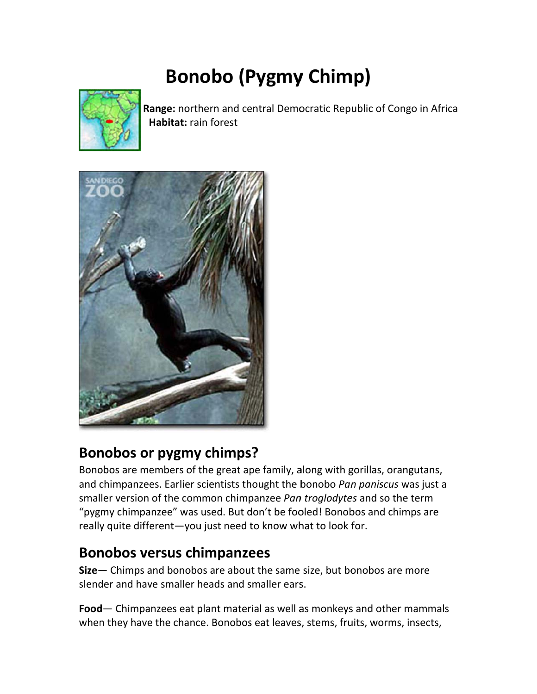# **Bonobo (Pygmy Chimp)**



Range: northern and central Democratic Republic of Congo in Africa Habitat: rain forest



### Bonobos or pygmy chimps?

Bonobos are members of the great ape family, along with gorillas, orangutans, and chimpanzees. Earlier scientists thought the bonobo Pan paniscus was just a smaller version of the common chimpanzee Pan troglodytes and so the term "pygmy chimpanzee" was used. But don't be fooled! Bonobos and chimps are really quite different-you just need to know what to look for.

#### **Bonobos versus chimpanzees**

Size- Chimps and bonobos are about the same size, but bonobos are more slender and have smaller heads and smaller ears.

Food - Chimpanzees eat plant material as well as monkeys and other mammals when they have the chance. Bonobos eat leaves, stems, fruits, worms, insects,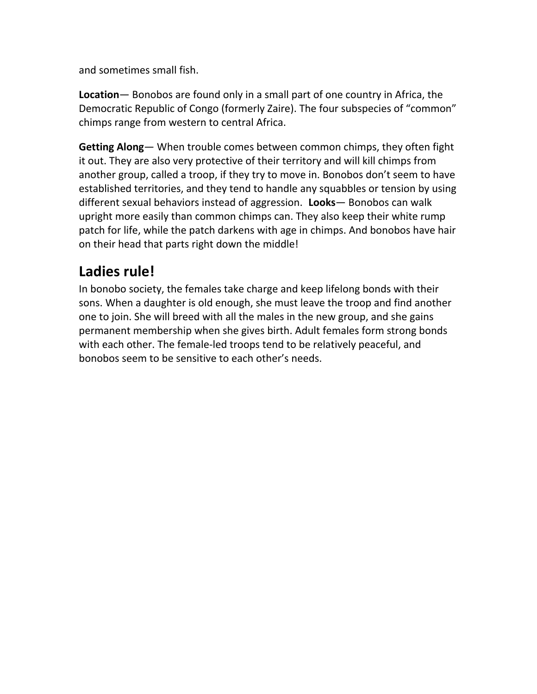and sometimes small fish.

**Location**— Bonobos are found only in a small part of one country in Africa, the Democratic Republic of Congo (formerly Zaire). The four subspecies of "common" chimps range from western to central Africa.

**Getting Along**— When trouble comes between common chimps, they often fight it out. They are also very protective of their territory and will kill chimps from another group, called a troop, if they try to move in. Bonobos don't seem to have established territories, and they tend to handle any squabbles or tension by using different sexual behaviors instead of aggression.**Looks**— Bonobos can walk upright more easily than common chimps can. They also keep their white rump patch for life, while the patch darkens with age in chimps. And bonobos have hair on their head that parts right down the middle!

#### **Ladies rule!**

In bonobo society, the females take charge and keep lifelong bonds with their sons. When a daughter is old enough, she must leave the troop and find another one to join. She will breed with all the males in the new group, and she gains permanent membership when she gives birth. Adult females form strong bonds with each other. The female‐led troops tend to be relatively peaceful, and bonobos seem to be sensitive to each other's needs.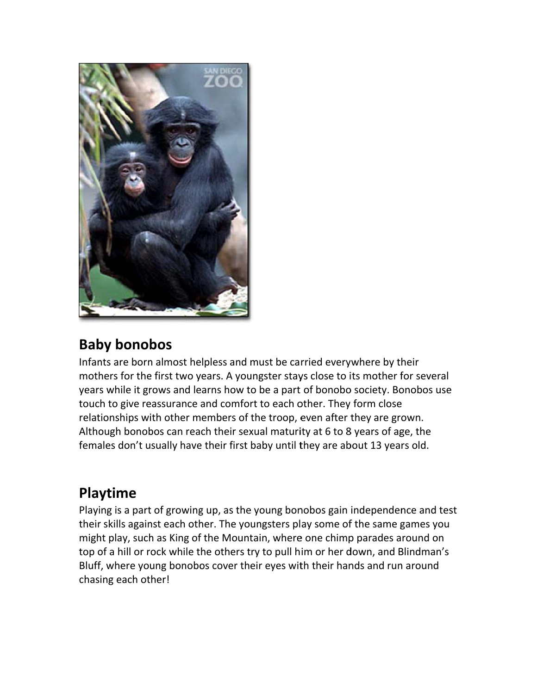

### **Baby** bonobos

Infants are born almost helpless and must be carried everywhere by their mothers for the first two years. A youngster stays close to its mother for several years while it grows and learns how to be a part of bonobo society. Bonobos use touch to give reassurance and comfort to each other. They form close touch to give reassurance and comfort to each other. They form close<br>relationships with other members of the troop, even after they are grown. Although bonobos can reach their sexual maturity at 6 to 8 years of age, the females don't usually have their first baby until they are about 13 years old. e<br>!st

#### **Play ytime**

Playing is a part of growing up, as the young bonobos gain independence and tes their skills against each other. The youngsters play some of the same games you might play, such as King of the Mountain, where one chimp parades around on top of a hill or rock while the others try to pull him or her down, and Blindman's Bluff, where young bonobos cover their eyes with their hands and run around chas ing each ot her!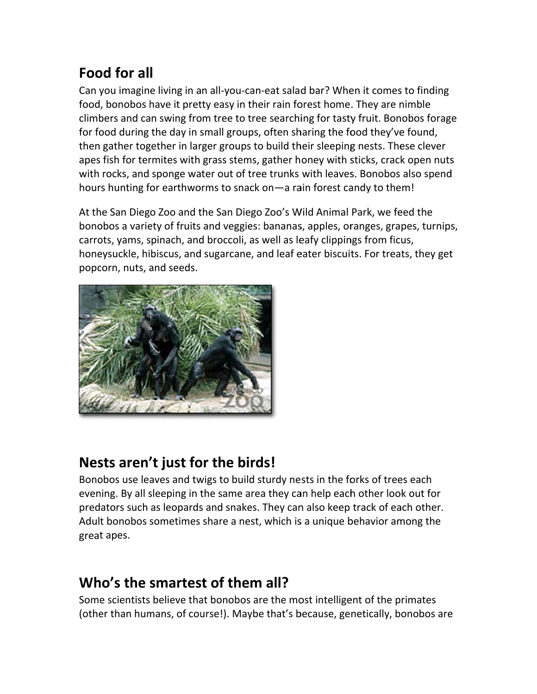## **Food for all**

Can you imagine living in an all-you-can-eat salad bar? When it comes to finding food, bonobos have it pretty easy in their rain forest home. They are nimble climbers and can swing from tree to tree searching for tasty fruit. Bonobos forage for food during the day in small groups, often sharing the food they've found, then gather together in larger groups to build their sleeping nests. These clever apes fish for termites with grass stems, gather honey with sticks, crack open nuts with rocks, and sponge water out of tree trunks with leaves. Bonobos also spend hours hunting for earthworms to snack on-a rain forest candy to them!

At the San Diego Zoo and the San Diego Zoo's Wild Animal Park, we feed the bonobos a variety of fruits and veggies: bananas, apples, oranges, grapes, turnips, carrots, yams, spinach, and broccoli, as well as leafy clippings from ficus, honeysuckle, hibiscus, and sugarcane, and leaf eater biscuits. For treats, they get popcorn, nuts, and seeds.



### Nests aren't just for the birds!

Bonobos use leaves and twigs to build sturdy nests in the forks of trees each evening. By all sleeping in the same area they can help each other look out for predators such as leopards and snakes. They can also keep track of each other. Adult bonobos sometimes share a nest, which is a unique behavior among the great apes.

## Who's the smartest of them all?

Some scientists believe that bonobos are the most intelligent of the primates (other than humans, of course!). Maybe that's because, genetically, bonobos are